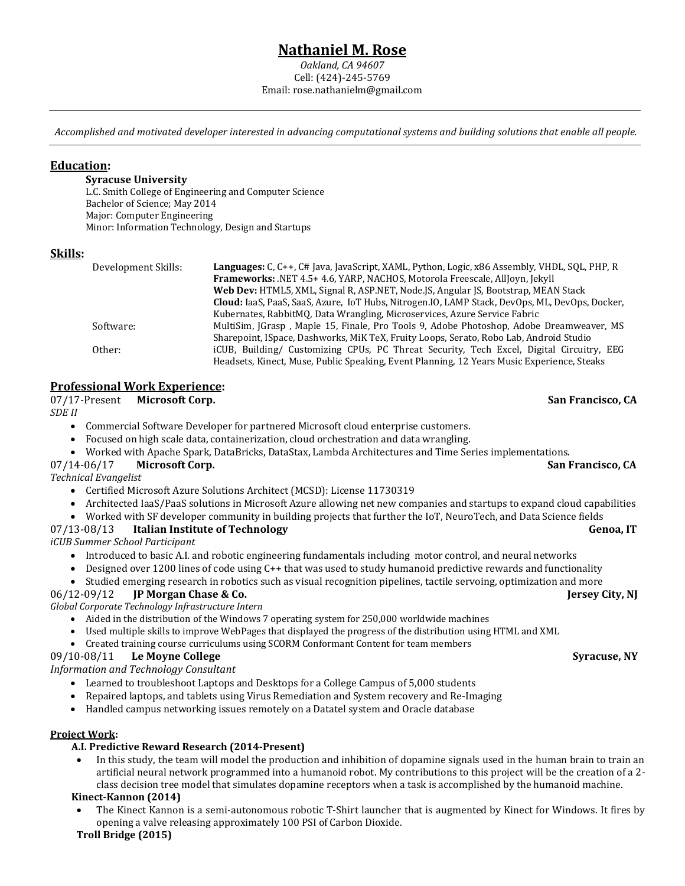# **[Nathaniel](http://www.linkedin.com/in/nathanielrose/) M. Rose**

*Oakland, CA 94607* Cell: (424)-245-5769 Email: rose.nathanielm@gmail.com

*Accomplished and motivated developer interested in advancing computational systems and building solutions that enable all people.*

# **Education:**

#### **Syracuse University**

L.C. Smith College of Engineering and Computer Science Bachelor of Science; May 2014 Major: Computer Engineering Minor: Information Technology, Design and Startups

# **Skills:**

| Development Skills: | <b>Languages:</b> C, C++, C# Java, JavaScript, XAML, Python, Logic, x86 Assembly, VHDL, SQL, PHP, R |
|---------------------|-----------------------------------------------------------------------------------------------------|
|                     | <b>Frameworks:</b> .NET 4.5+ 4.6, YARP, NACHOS, Motorola Freescale, AllJoyn, Jekyll                 |
|                     | Web Dev: HTML5, XML, Signal R, ASP.NET, Node.JS, Angular JS, Bootstrap, MEAN Stack                  |
|                     | Cloud: IaaS, PaaS, SaaS, Azure, IoT Hubs, Nitrogen.IO, LAMP Stack, DevOps, ML, DevOps, Docker,      |
|                     | Kubernates, RabbitMO, Data Wrangling, Microservices, Azure Service Fabric                           |
| Software:           | MultiSim, JGrasp, Maple 15, Finale, Pro Tools 9, Adobe Photoshop, Adobe Dreamweaver, MS             |
|                     | Sharepoint, ISpace, Dashworks, MiK TeX, Fruity Loops, Serato, Robo Lab, Android Studio              |
| Other:              | iCUB, Building/ Customizing CPUs, PC Threat Security, Tech Excel, Digital Circuitry, EEG            |
|                     | Headsets, Kinect, Muse, Public Speaking, Event Planning, 12 Years Music Experience, Steaks          |

# **Professional Work Experience:**

| 07/17-Present Microsoft Corp. | San Francisco, CA |
|-------------------------------|-------------------|
|                               |                   |

*[SDE II](http://eris.liralab.it/summerschool/)*

- Commercial Software Developer for partnered Microsoft cloud enterprise customers.
- Focused on high scale data, containerization, cloud orchestration and data wrangling.
- Worked with Apache Spark, DataBricks, DataStax, Lambda Architectures and Time Series implementations.

#### 07/14-06/17 **Microsoft Corp. San Francisco, CA**

*[Technical](http://eris.liralab.it/summerschool/) Evangelist*

- Certified Microsoft Azure Solutions Architect (MCSD): License 11730319
- Architected IaaS/PaaS solutions in Microsoft Azure allowing net new companies and startups to expand cloud capabilities
- Worked with SF developer community in building projects that further the IoT, NeuroTech, and Data Science fields

# 07/13-08/13 Italian Institute of Technology **Genoa, IT**

*iCUB [Summer School Participant](http://eris.liralab.it/summerschool/)*

- Introduced to basic A.I. and robotic engineering fundamentals including motor control, and neural networks
- Designed over 1200 lines of code using C++ that was used to study humanoid predictive rewards and functionality
- Studied emerging research in robotics such as visual recognition pipelines, tactile servoing, optimization and more

#### 06/12-09/12 **JP Morgan Chase & Co. Jersey City, NJ**

*Global Corporate Technology Infrastructure Intern*

- Aided in the distribution of the Windows 7 operating system for 250,000 worldwide machines
- Used multiple skills to improve WebPages that displayed the progress of the distribution using HTML and XML
- Created training course curriculums using SCORM Conformant Content for team members

#### 09/10-08/11 **Le Moyne College Syracuse, NY**

*Information and Technology Consultant*

- Learned to troubleshoot Laptops and Desktops for a College Campus of 5,000 students
- Repaired laptops, and tablets using Virus Remediation and System recovery and Re-Imaging
- Handled campus networking issues remotely on a Datatel system and Oracle database

#### **Project Work:**

# **A.I. Predictive Reward Research (2014-Present)**

• In this study, the team will model the production and inhibition of dopamine signals used in the human brain to train an artificial neural network programmed into a humanoid robot. My contributions to this project will be the creation of a 2 class decision tree model that simulates dopamine receptors when a task is accomplished by the humanoid machine.

# **Kinect-Kannon (2014)**

• The Kinect Kannon is a semi-autonomous robotic T-Shirt launcher that is augmented by Kinect for Windows. It fires by opening a valve releasing approximately 100 PSI of Carbon Dioxide.

**Troll Bridge (2015)**